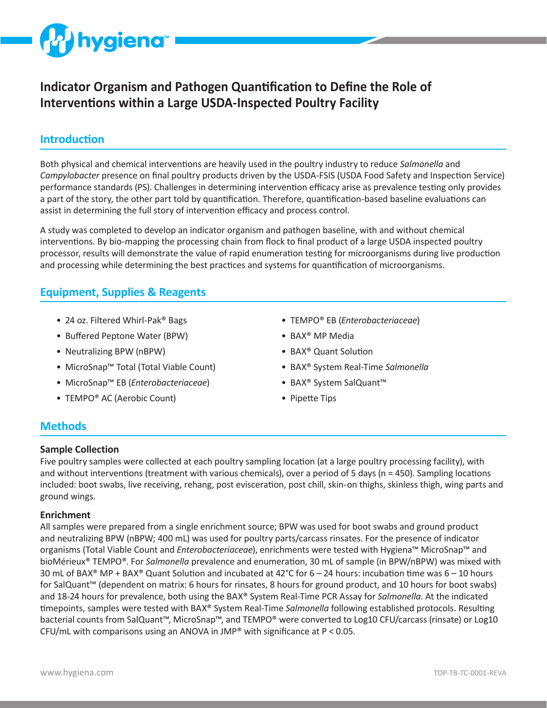

# **Indicator Organism and Pathogen Quantification to Define the Role of Interventions within a Large USDA-Inspected Poultry Facility**

## **Introduction**

Both physical and chemical interventions are heavily used in the poultry industry to reduce *Salmonella* and *Campylobacter* presence on final poultry products driven by the USDA-FSIS (USDA Food Safety and Inspection Service) performance standards (PS). Challenges in determining intervention efficacy arise as prevalence testing only provides a part of the story, the other part told by quantification. Therefore, quantification-based baseline evaluations can assist in determining the full story of intervention efficacy and process control.

A study was completed to develop an indicator organism and pathogen baseline, with and without chemical interventions. By bio-mapping the processing chain from flock to final product of a large USDA inspected poultry processor, results will demonstrate the value of rapid enumeration testing for microorganisms during live production and processing while determining the best practices and systems for quantification of microorganisms.

# **Equipment, Supplies & Reagents**

- 24 oz. Filtered Whirl-Pak® Bags
- Buffered Peptone Water (BPW)
- Neutralizing BPW (nBPW)
- MicroSnap™ Total (Total Viable Count)
- MicroSnap™ EB (*Enterobacteriaceae*)
- TEMPO® AC (Aerobic Count)
- TEMPO® EB (*Enterobacteriaceae*)
- BAX® MP Media
- BAX® Quant Solution
- BAX® System Real-Time *Salmonella*
- BAX® System SalQuant™
- Pipette Tips

# **Methods**

#### **Sample Collection**

Five poultry samples were collected at each poultry sampling location (at a large poultry processing facility), with and without interventions (treatment with various chemicals), over a period of 5 days (n = 450). Sampling locations included: boot swabs, live receiving, rehang, post evisceration, post chill, skin-on thighs, skinless thigh, wing parts and ground wings.

#### **Enrichment**

All samples were prepared from a single enrichment source; BPW was used for boot swabs and ground product and neutralizing BPW (nBPW; 400 mL) was used for poultry parts/carcass rinsates. For the presence of indicator organisms (Total Viable Count and *Enterobacteriaceae*), enrichments were tested with Hygiena™ MicroSnap™ and bioMérieux® TEMPO®. For *Salmonella* prevalence and enumeration, 30 mL of sample (in BPW/nBPW) was mixed with 30 mL of BAX® MP + BAX® Quant Solution and incubated at 42°C for 6 – 24 hours: incubation time was 6 – 10 hours for SalQuant™ (dependent on matrix: 6 hours for rinsates, 8 hours for ground product, and 10 hours for boot swabs) and 18-24 hours for prevalence, both using the BAX® System Real-Time PCR Assay for *Salmonella*. At the indicated timepoints, samples were tested with BAX® System Real-Time *Salmonella* following established protocols. Resulting bacterial counts from SalQuant™, MicroSnap™, and TEMPO® were converted to Log10 CFU/carcass (rinsate) or Log10 CFU/mL with comparisons using an ANOVA in JMP<sup>®</sup> with significance at  $P < 0.05$ .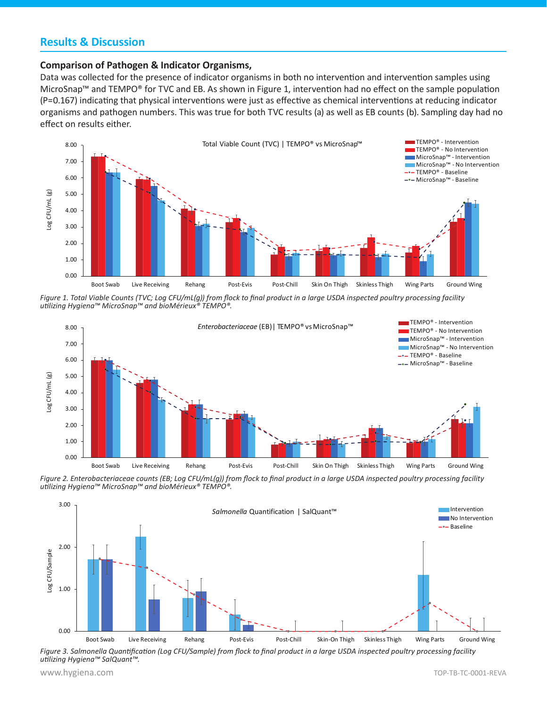# **Results & Discussion**

#### **Comparison of Pathogen & Indicator Organisms,**

Data was collected for the presence of indicator organisms in both no intervention and intervention samples using MicroSnap™ and TEMPO® for TVC and EB. As shown in Figure 1, intervention had no effect on the sample population (P=0.167) indicating that physical interventions were just as effective as chemical interventions at reducing indicator organisms and pathogen numbers. This was true for both TVC results (a) as well as EB counts (b). Sampling day had no effect on results either.



*Figure 1. Total Viable Counts (TVC; Log CFU/mL(g)) from flock to final product in a large USDA inspected poultry processing facility utilizing Hygiena™ MicroSnap™ and bioMérieux® TEMPO®.*



*Figure 2. Enterobacteriaceae counts (EB; Log CFU/mL(g)) from flock to final product in a large USDA inspected poultry processing facility utilizing Hygiena™ MicroSnap™ and bioMérieux® TEMPO®.*



*Figure 3. Salmonella Quantification (Log CFU/Sample) from flock to final product in a large USDA inspected poultry processing facility utilizing Hygiena™ SalQuant™.*